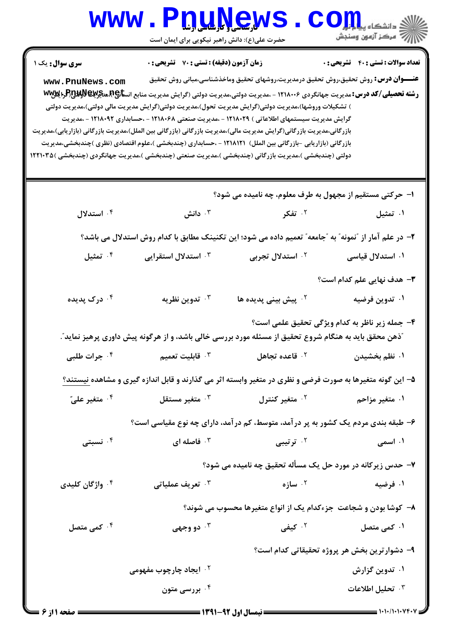## WWW.PnuNews.com .<br>\||// " مرکز آزمون وسنڊش حضرت علی(ع): دانش راهبر نیکویی برای ایمان است **سری سوال :** یک ۱ **زمان آزمون (دقیقه) : تستی : 70 گشریحی: 0** تعداد سوالات : تستى : 40 - تشريحي : 0 **عنـــوان درس:** روش تحقیق،روش تحقیق درمدیریت،روشهای تحقیق وماخذشناسی،مبانی روش تحقیق www.PnuNews.com **رشته تحصیلی/کد درس:**مدیریت جهانگردی ۱۲۱۸۰۰۶ - ،مدیریت دولتی،مدیریت دولتی (گرایش مدیریت منابع انس**تا:A،هنگرایا A، و Www** ) تشکیلات وروشها)،مدیریت دولتی(گرایش مدیریت تحول)،مدیریت دولتی(گرایش مدیریت مالی دولتی)،مدیریت دولتی گرایش مدیریت سیستمهای اطلاعاتی ) ۱۲۱۸۰۲۹ - ،مدیریت صنعتی ۱۲۱۸۰۶۸ - ،حسابداری ۱۲۱۸۰۹۲ - ،مدیریت بازر گانی،مدیریت بازر گانی(گرایش مدیریت مالی)،مدیریت بازرگانی (بازرگانی بین الملل)،مدیریت بازرگانی (بازاریابی)،مدیریت بازرگانی (بازاریابی -بازرگانی بین الملل) ۱۲۱۸۱۲۱ - ،حسابداری (چندبخشی )،علوم اقتصادی (نظری )چندبخشی،مدیریت دولتی (چندبخشی )،مدیریت بازرگانی (چندبخشی )،مدیریت صنعتی (چندبخشی )،مدیریت جهانگردی (چندبخشی )۱۲۲۱۰۳۵ ا– حرکتے مستقیم از مجھول به طرف معلوم، چه نامیده می شود؟ ۰۴ استدلال دانش " . " ۲. تفک**ر** ۰۱ تمثیل ٢- در علم آمار از "نمونه" به "جامعه" تعمیم داده می شود؛ این تکنینک مطابق با کدام روش استدلال می باشد؟ تمثيل  $\cdot$ ۴  $^{\circ}$ ۰<sup>۲</sup> استدلال تجربی ۰۳ استدلال استقرایی ۰۱ استدلال قیاسی **۳**– هدف نهایی علم کدام است؟ ندوين نظريه  $\cdot$ ۰۱ تدوین فرضیه ۰<sup>۲</sup> درک پدیده ۰<sup>۲</sup> پیش بینی پدیده ها ۴- جمله زير ناظر به كدام ويژگي تحقيق علمي است؟ آذهن محقق باید به هنگام شروع تحقیق از مسئله مورد بررسی خالی باشد، و از هرگونه پیش داوری پرهیز نماید ؒ. ا قابليت تعميم  $\cdot$ ۰<sup>۲</sup> قاعده تجاهل ۰<sup>۴</sup> جرات طلبي ۰۱ نظم بخشیدن ۵– این گونه متغیرها به صورت فرضی و نظری در متغیر وابسته اثر می گذارند و قابل اندازه گیری و مشاهده نیستند؟ ۰<sup>۴</sup> متغیر عليّ متغير مستقل  $\cdot^{\texttt{w}}$ ۰<sup>۲</sup> متغیر کنترل **1. متغير مزاحم** ۶- طبقه بندی مردم یک کشور به پر در آمد، متوسط، کم در آمد، دارای چه نوع مقیاسی است؟ ۰۴ نسبتی ۰۲ تر تیبی فاصله ای  $\cdot$ ۰۱ اسمي ۷- حدس زیرکانه در مورد حل یک مسأله تحقیق چه نامیده می شود؟  $\cdot$ ۰۲ سازه ۰<sup>۴</sup> واژگان کلیدی تعريف عملياتي  $\cdot^7$ ۰۱ فرضیه ۸– کوشا بودن و شجاعت جزءکدام یک از انواع متغیرها محسوب می شوند؟ ۰۲ کیفی کمی متصل  $\cdot$   $^{\mathfrak{e}}$ ۰۱ کمی متصل دو وجهي  $\cdot^{\mathsf{r}}$ ۹- دشوارترین بخش هر پروژه تحقیقاتی کدام است؟ ۰۲ ایجاد چارچوب مفهومی ۰۱ تدوین گزارش ۰<sup>۴</sup> بررسی متون ۰<sup>۳</sup> تحلیل اطلاعات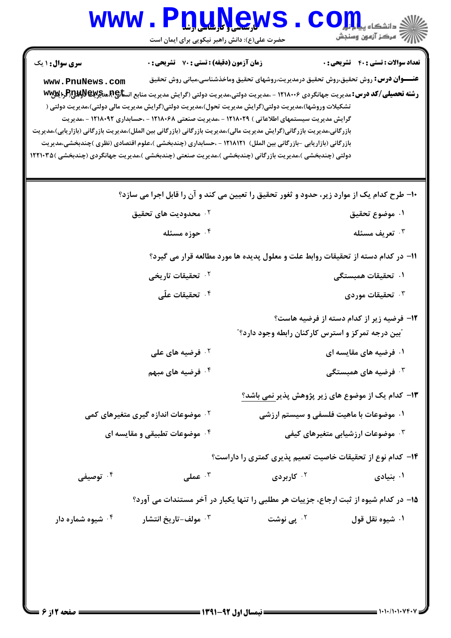## WWW.PnuNews.com حضرت علی(ع): دانش راهبر نیکویی برای ایمان است **تعداد سوالات : تستي : 40 - تشريحي : 0 سری سوال : ۱ یک زمان آزمون (دقیقه) : تستی : 70 گشریحی: 0**

**عنـــوان درس:** روش تحقیق،روش تحقیق درمدیریت،روشهای تحقیق وماخذشناسی،مبانی روش تحقیق www.PnuNews.com رشته تحصیلی/کد درس: مدیریت جهانگردی ۱۲۱۸۰۰۶ - ،مدیریت دولتی،مدیریت دولتی (گرایش مدیریت منابع انسانچ7.هنگوللالالالالولالیالالا تشکیلات وروشها)،مدیریت دولتی(گرایش مدیریت تحول)،مدیریت دولتی(گرایش مدیریت مالی دولتی)،مدیریت دولتی ( گرایش مدیریت سیستمهای اطلاعاتی ) ۱۲۱۸۰۲۹ – ،مدیریت صنعتی ۱۲۱۸۰۶۸ – ،حسابداری ۱۲۱۸۰۹۲ – ،مدیریت بازر گانی،مدیریت بازر گانی(گرایش مدیریت مالی)،مدیریت بازرگانی (بازرگانی بین الملل)،مدیریت بازرگانی (بازاریابی)،مدیریت بازرگانی (بازاریابی -بازرگانی بین الملل) ۱۲۱۸۱۲۱ - ،حسابداری (چندبخشی )،علوم اقتصادی (نظری )چندبخشی،مدیریت دولتی (چندبخشی )،مدیریت بازرگانی (چندبخشی )،مدیریت صنعتی (چندبخشی )،مدیریت جهانگردی (چندبخشی )۱۲۲۱۰۳۵

۱۰- طرح کدام یک از موارد زیر، حدود و ثغور تحقیق را تعیین می کند و آن را قابل اجرا می سازد؟ ۰<sup>۲</sup> محدودیت های تحقیق ٠١ موضوع تحقيق ۰۴ حوزه مسئله تعريف مسئله  $\cdot^{\mathtt{w}}$ 11- در کدام دسته از تحقیقات روابط علت و معلول پدیده ها مورد مطالعه قرار می گیرد؟ ۰۲ تحقیقات تاری*خی* ١. تحقيقات همبستگي ۰<sup>۴</sup> تحقیقات علّی تحقیقات موردی  $\cdot$ ۳ **۱۲**- فرضیه زیر از کدام دسته از فرضیه هاست؟ آبین درجه تمرکز و استرس کارکنان رابطه وجود دارد؟" <sup>۲.</sup> فرضیه های علی ۰۱ فرضیه های مقایسه ای ۰<sup>۳</sup> فرضیه های همبستگی ۰۴ فرضیه های مبهم ۱۳- کدام یک از موضوع های زیر پژوهش پذیر نمی باشد؟ ۰۱ موضوعات با ماهیت فلسفی و سیستم ارزشی **۰۲ موضوعات اندازه گیری متغیرهای کمی** ۰۴ موضوعات تطبیقی و مقایسه ای ۰<sup>۳</sup> موضوعات ارزشیابی متغیرهای کیفی ۱۴- کدام نوع از تحقیقات خاصیت تعمیم پذیری کمتری را داراست؟ ۰۴ توصیفی  $\cdot^{\mathsf{F}}$  عملی  $\cdot^{\mathsf{F}}$ ۰<sup>۲</sup> کاربردی ۰۱ بنیادی 1۵- در کدام شیوه از ثبت ارجاع، جزییات هر مطلبی را تنها یکبار در آخر مستندات می آورد؟ ۰<sup>۳</sup> مولف-تاریخ انتشار <sup>۲ .</sup> یے نوشت ۰<sup>۴</sup> شیوه شماره دار ۰۱ شیوه نقل قول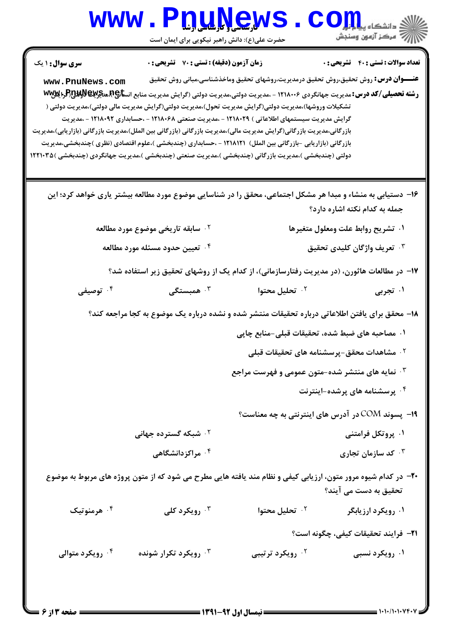## WWW.PnuNews.com ازارات مرکز آزمون وسنجش حضرت علی(ع): دانش راهبر نیکویی برای ایمان است **سری سوال : ۱ یک زمان آزمون (دقیقه) : تستی : 70 گشریحی: 0** تعداد سوالات : تستى : 40 - تشريحي : 0 **عنـــوان درس:** روش تحقیق،روش تحقیق درمدیریت،روشهای تحقیق وماخذشناسی،مبانی روش تحقیق www.PnuNews.com **رشته تحصیلی/کد درس:**مدیریت جهانگردی ۱۲۱۸۰۰۶ - ،مدیریت دولتی،مدیریت دولتی (گرایش مدیریت منابع انس**تا:A،هنگرایا A، و Www** تشکیلات وروشها)،مدیریت دولتی(گرایش مدیریت تحول)،مدیریت دولتی(گرایش مدیریت مالی دولتی)،مدیریت دولتی ( گرایش مدیریت سیستمهای اطلاعاتی ) ۱۲۱۸۰۲۹ – ،مدیریت صنعتی ۱۲۱۸۰۶۸ – ،حسابداری ۱۲۱۸۰۹۲ – ،مدیریت بازرگانی،مدیریت بازرگانی(گرایش مدیریت مالی)،مدیریت بازرگانی (بازرگانی بین الملل)،مدیریت بازرگانی (بازاریابی)،مدیریت بازرگانی (بازاریابی -بازرگانی بین الملل) ۱۲۱۸۱۲۱ - ،حسابداری (چندبخشی )،علوم اقتصادی (نظری )چندبخشی،مدیریت دولتی (چندبخشی )،مدیریت بازرگانی (چندبخشی )،مدیریت صنعتی (چندبخشی )،مدیریت جهانگردی (چندبخشی )۱۲۲۱۰۳۵ ۱۶– دستیابی به منشاء و مبدا هر مشکل اجتماعی، محقق را در شناسایی موضوع مورد مطالعه بیشتر پاری خواهد کرد؛ این جمله به کدام نکته اشاره دارد؟ ۰<sup>۲</sup> سابقه تاری*خی* موضوع مورد مطالعه ۰۱ تشریح روابط علت ومعلول متغیرها ۰۴ تعیین حدود مسئله مورد مطالعه ۰<sup>۳</sup> تعریف واژگان کلیدی تحقیق ۱۷- در مطالعات هاثورن، (در مدیریت رفتارسازمانی)، از کدام یک از روشهای تحقیق زیر استفاده شد؟ توصيفي  $\cdot$ ۴ . همبستگی  $\cdot$ ۳ <sup>۲.</sup> تحليل محتوا ۰۱ تجربی ۱۸- محقق برای یافتن اطلاعاتی درباره تحقیقات منتشر شده و نشده درباره یک موضوع به کجا مراجعه کند؟ ۰۱ مصاحبه های ضبط شده، تحقیقات قبلی-منابع چاپی ۰<sup>۲</sup> مشاهدات محقق-پرسشنامه های تحقیقات قبلی ۰۳ نمایه های منتشر شده-متون عمومی و فهرست مراجع ۰<sup>۴</sup> پرسشنامه های پرشده-اینترنت 19- یسوند COM در آدرس های اینترنتی به چه معناست؟ <sup>۲ .</sup> شبکه گسترده جهانی ۰۱ پروتکل فرامتنی ۰۴ مراکز دانشگاهی کد سازمان تجاری  $\cdot^{\mathsf{v}}$ ۲۰− در کدام شیوه مرور متون، ارزیابی کیفی و نظام مند یافته هایی مطرح می شود که از متون پروژه های مربوط به موضوع تحقیق به دست مے آیند؟ ۰۳ رویکرد کلی ۰۱ رویکرد ارزیابگر ۰۴ هرمنوتیک ۰<sup>۲</sup> تحلیل محتوا **٢١**- فرايند تحقيقات كيفي، چگونه است؟ ۰۴ رویکرد متوالي ۰<sup>۳</sup> رویکرد تکرار شونده ۰<sup>۲</sup> رویکرد ترتیبی ۰۱ رویکرد نسبی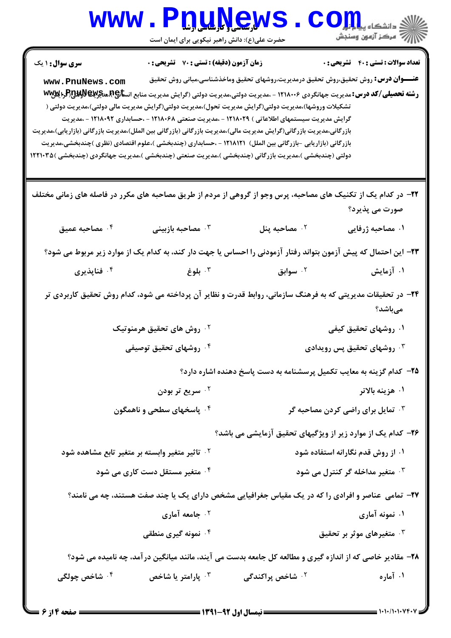| <b>WWW.</b>                                                                                                                                                                                                                                     | <b>PnuNews</b><br>حضرت علی(ع): دانش راهبر نیکویی برای ایمان است |                                                                                                                                                                                                                                                                                                                                                                                                                                                                                                                                                                            | رازان دانشگاه پیاهایی<br>۱۳۱۸ - مرکز آزمون وسنجش |  |
|-------------------------------------------------------------------------------------------------------------------------------------------------------------------------------------------------------------------------------------------------|-----------------------------------------------------------------|----------------------------------------------------------------------------------------------------------------------------------------------------------------------------------------------------------------------------------------------------------------------------------------------------------------------------------------------------------------------------------------------------------------------------------------------------------------------------------------------------------------------------------------------------------------------------|--------------------------------------------------|--|
| <b>سری سوال : ۱ یک</b>                                                                                                                                                                                                                          | زمان آزمون (دقیقه) : تستی : 70 گشریحی : 0                       |                                                                                                                                                                                                                                                                                                                                                                                                                                                                                                                                                                            | <b>تعداد سوالات : تستی : 40 قشریحی : 0</b>       |  |
| www.PnuNews.com<br>بازرگانی،مدیریت بازرگانی(گرایش مدیریت مالی)،مدیریت بازرگانی (بازرگانی بین الملل)،مدیریت بازرگانی (بازاریابی)،مدیریت<br>دولتی (چندبخشی )،مدیریت بازرگانی (چندبخشی )،مدیریت صنعتی (چندبخشی )،مدیریت جهانگردی (چندبخشی )۱۲۲۱۰۳۵ |                                                                 | <b>عنــــوان درس:</b> روش تحقیق،روش تحقیق درمدیریت،روشهای تحقیق وماخذشناسی،مبانی روش تحقیق<br><b>رشته تحصیلی/کد درس:</b> مدیریت جهانگردی ۱۲۱۸۰۰۶ - ،مدیریت دولتی،مدیریت دولتی (گرایش مدیریت منابع انس <b>تا</b> چ4همک <b>یربالاولای</b> لاولایلاوا<br>تشکیلات وروشها)،مدیریت دولتی(گرایش مدیریت تحول)،مدیریت دولتی(گرایش مدیریت مالی دولتی)،مدیریت دولتی (<br>گرایش مدیریت سیستمهای اطلاعاتی ) ۱۲۱۸۰۲۹ - ،مدیریت صنعتی ۱۲۱۸۰۶۸ - ،حسابداری ۱۲۱۸۰۹۲ - ،مدیریت<br>بازرگانی (بازاریابی -بازرگانی بین الملل) ۱۲۱۸۱۲۱ - ،حسابداری (چندبخشی )،علوم اقتصادی (نظری )چندبخشی،مدیریت |                                                  |  |
| ۲۲– در کدام یک از تکنیک های مصاحبه، پرس وجو از گروهی از مردم از طریق مصاحبه های مکرر در فاصله های زمانی مختلف                                                                                                                                   |                                                                 |                                                                                                                                                                                                                                                                                                                                                                                                                                                                                                                                                                            | صورت می پذیرد؟                                   |  |
| ۰۴ مصاحبه عمیق                                                                                                                                                                                                                                  | مصاحبه بازبينى $\cdot$                                          | ۰ <sup>۲</sup> مصاحبه پنل                                                                                                                                                                                                                                                                                                                                                                                                                                                                                                                                                  | ۰۱ مصاحبه ژرفایی                                 |  |
|                                                                                                                                                                                                                                                 |                                                                 | ۲۳– این احتمال که پیش آزمون بتواند رفتار آزمودنی را احساس یا جهت دار کند، به کدام یک از موارد زیر مربوط می شود؟                                                                                                                                                                                                                                                                                                                                                                                                                                                            |                                                  |  |
| ۰ <sup>۴</sup> فناپذیری                                                                                                                                                                                                                         | بلوغ $\cdot^{\mathsf{r}}$                                       | سوابق $\cdot$ ۲                                                                                                                                                                                                                                                                                                                                                                                                                                                                                                                                                            | ۰۱ آزمایش                                        |  |
| ۲۴– در تحقیقات مدیریتی که به فرهنگ سازمانی، روابط قدرت و نظایر آن پرداخته می شود، کدام روش تحقیق کاربردی تر<br>مىباشد؟<br><sup>۲.</sup> روش های تحقیق هرمنوتیک<br>۰۱ روشهای تحقیق کیفی                                                          |                                                                 |                                                                                                                                                                                                                                                                                                                                                                                                                                                                                                                                                                            |                                                  |  |
| ۰۴ روشهای تحقیق توصیفی                                                                                                                                                                                                                          |                                                                 | روشهای تحقیق پس رویدادی $\cdot$                                                                                                                                                                                                                                                                                                                                                                                                                                                                                                                                            |                                                  |  |
| ۲۵- کدام گزینه به معایب تکمیل پرسشنامه به دست پاسخ دهنده اشاره دارد؟                                                                                                                                                                            |                                                                 |                                                                                                                                                                                                                                                                                                                                                                                                                                                                                                                                                                            |                                                  |  |
|                                                                                                                                                                                                                                                 | <sup>۲</sup> ۰ سریع تر بودن                                     |                                                                                                                                                                                                                                                                                                                                                                                                                                                                                                                                                                            | ۰۱ هزینه بالاتر                                  |  |
|                                                                                                                                                                                                                                                 | ۰۴ پاسخهای سطحی و ناهمگون                                       |                                                                                                                                                                                                                                                                                                                                                                                                                                                                                                                                                                            | ۰ <sup>۳ ت</sup> مایل برای راضی کردن مصاحبه گر   |  |
|                                                                                                                                                                                                                                                 |                                                                 | ۲۶- کدام یک از موارد زیر از ویژگیهای تحقیق آزمایشی می باشد؟                                                                                                                                                                                                                                                                                                                                                                                                                                                                                                                |                                                  |  |
| <sup>۲ .</sup> تاثیر متغیر وابسته بر متغیر تابع مشاهده شود                                                                                                                                                                                      |                                                                 | ۰۱ از روش قدم نگارانه استفاده شود                                                                                                                                                                                                                                                                                                                                                                                                                                                                                                                                          |                                                  |  |
|                                                                                                                                                                                                                                                 | ۰ <sup>۴</sup> متغیر مستقل دست کاری می شود                      |                                                                                                                                                                                                                                                                                                                                                                                                                                                                                                                                                                            | ۰ <sup>۳</sup> متغیر مداخله گر کنترل می شود      |  |
|                                                                                                                                                                                                                                                 |                                                                 | ۲۷- تمامی عناصر و افرادی را که در یک مقیاس جغرافیایی مشخص دارای یک یا چند صفت هستند، چه می نامند؟                                                                                                                                                                                                                                                                                                                                                                                                                                                                          |                                                  |  |
| ۰۲ جامعه آماری                                                                                                                                                                                                                                  |                                                                 | ۰۱ نمونه آماری<br>شتغیرهای موثر بر تحقیق $\cdot$                                                                                                                                                                                                                                                                                                                                                                                                                                                                                                                           |                                                  |  |
|                                                                                                                                                                                                                                                 | ۰۴ نمونه گیری منطقی                                             |                                                                                                                                                                                                                                                                                                                                                                                                                                                                                                                                                                            |                                                  |  |
| ۰ <sup>۴</sup> شاخص چولگی                                                                                                                                                                                                                       | پارامتر یا شاخص $\cdot^{\texttt{w}}$                            | ۲۸- مقادیر خاصی که از اندازه گیری و مطالعه کل جامعه بدست می آیند، مانند میانگین درآمد، چه نامیده می شود؟<br><sup>۲ .</sup> شاخص پراکندگی                                                                                                                                                                                                                                                                                                                                                                                                                                   | ۰۱ آماره                                         |  |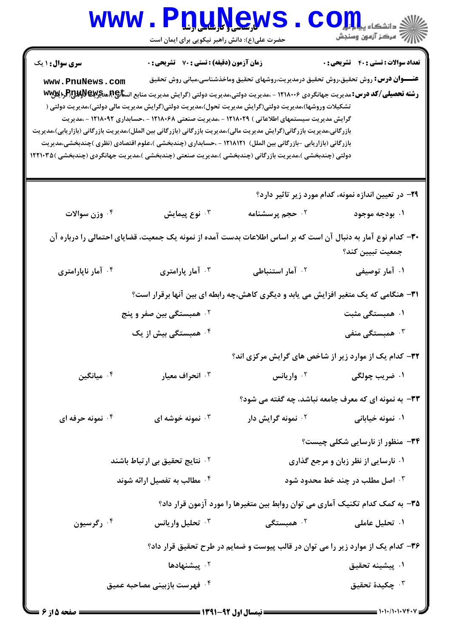|                                                                                                                                                                                                                                                 | www.PnuNew<br>حضرت علی(ع): دانش راهبر نیکویی برای ایمان است                                                                                                                                                                                                                                                                                                                                                                                                              |                                     |                                                                                            |
|-------------------------------------------------------------------------------------------------------------------------------------------------------------------------------------------------------------------------------------------------|--------------------------------------------------------------------------------------------------------------------------------------------------------------------------------------------------------------------------------------------------------------------------------------------------------------------------------------------------------------------------------------------------------------------------------------------------------------------------|-------------------------------------|--------------------------------------------------------------------------------------------|
| <b>سری سوال : ۱ یک</b>                                                                                                                                                                                                                          | زمان آزمون (دقیقه) : تستی : 70 قشریحی : 0                                                                                                                                                                                                                                                                                                                                                                                                                                |                                     | <b>تعداد سوالات : تستی : 40 ٪ تشریحی : 0</b>                                               |
| www.PnuNews.com<br>بازرگانی،مدیریت بازرگانی(گرایش مدیریت مالی)،مدیریت بازرگانی (بازرگانی بین الملل)،مدیریت بازرگانی (بازاریابی)،مدیریت<br>دولتی (چندبخشی )،مدیریت بازرگانی (چندبخشی )،مدیریت صنعتی (چندبخشی )،مدیریت جهانگردی (چندبخشی )۱۲۲۱۰۳۵ | <b>رشته تحصیلی/کد درس:</b> مدیریت جهانگردی ۱۲۱۸۰۰۶ - ،مدیریت دولتی،مدیریت دولتی (گرایش مدیریت منابع انس <b>تا</b> چ4همگ <b>ولاپرAپ</b> و5پوAپوWw<br>تشکیلات وروشها)،مدیریت دولتی(گرایش مدیریت تحول)،مدیریت دولتی(گرایش مدیریت مالی دولتی)،مدیریت دولتی (<br>گرایش مدیریت سیستمهای اطلاعاتی ) ۱۲۱۸۰۲۹ - ،مدیریت صنعتی ۱۲۱۸۰۶۸ - ،حسابداری ۱۲۱۸۰۹۲ - ،مدیریت<br>بازرگانی (بازاریابی -بازرگانی بین الملل) ۱۲۱۸۱۲۱ - ،حسابداری (چندبخشی )،علوم اقتصادی (نظری )چندبخشی،مدیریت |                                     | <b>عنــــوان درس:</b> روش تحقیق،روش تحقیق درمدیریت،روشهای تحقیق وماخذشناسی،مبانی روش تحقیق |
|                                                                                                                                                                                                                                                 |                                                                                                                                                                                                                                                                                                                                                                                                                                                                          |                                     | ۲۹– در تعیین اندازه نمونه، کدام مورد زیر تاثیر دارد؟                                       |
| ۰۴ وزن سوالات                                                                                                                                                                                                                                   | نوع پيمايش $\cdot^{\mathtt{w}}$                                                                                                                                                                                                                                                                                                                                                                                                                                          | ۰۲ حجم پرسشنامه                     | ۰۱ بودجه موجود                                                                             |
|                                                                                                                                                                                                                                                 | ۳۰– کدام نوع آمار به دنبال آن است که بر اساس اطلاعات بدست آمده از نمونه یک جمعیت، قضایای احتمالی را درباره آن                                                                                                                                                                                                                                                                                                                                                            |                                     | جمعيت تبيين كند؟                                                                           |
| ۰۴ آمار ناپارامتری                                                                                                                                                                                                                              | ۰۳ آمار پارامتری                                                                                                                                                                                                                                                                                                                                                                                                                                                         | ۰ <sup>۲</sup> آمار استنباطی        | ۰۱ آمار توصیفی                                                                             |
|                                                                                                                                                                                                                                                 | <b>۳۱</b> - هنگامی که یک متغیر افزایش می یابد و دیگری کاهش،چه رابطه ای بین آنها برقرار است؟                                                                                                                                                                                                                                                                                                                                                                              |                                     |                                                                                            |
|                                                                                                                                                                                                                                                 | <sup>۲.</sup> همبستگی بین صفر و پنج                                                                                                                                                                                                                                                                                                                                                                                                                                      |                                     | ۰۱ همبستگی مثبت                                                                            |
|                                                                                                                                                                                                                                                 | ۰ <sup>۴</sup> همبستگی بیش از یک                                                                                                                                                                                                                                                                                                                                                                                                                                         |                                     | همبستگی منفی $\cdot$                                                                       |
|                                                                                                                                                                                                                                                 |                                                                                                                                                                                                                                                                                                                                                                                                                                                                          |                                     | ۳۲- کدام یک از موارد زیر از شاخص های گرایش مرکزی اند؟                                      |
| ويانگين $\cdot$ ۴ $\cdot$                                                                                                                                                                                                                       | ۰۳ انحراف معیار                                                                                                                                                                                                                                                                                                                                                                                                                                                          | <sup>۲.</sup> واریانس               | ۰۱ ضریب چولگی                                                                              |
|                                                                                                                                                                                                                                                 |                                                                                                                                                                                                                                                                                                                                                                                                                                                                          |                                     | ۳۳- به نمونه ای که معرف جامعه نباشد، چه گفته می شود؟                                       |
| ۰۴ نمونه حرفه ای                                                                                                                                                                                                                                | نمونه خوشه ای $\cdot^{\mathsf{v}}$                                                                                                                                                                                                                                                                                                                                                                                                                                       | ۰ <sup>۲</sup> نمونه گرایش دار      | ۰۱ نمونه خیابانی                                                                           |
|                                                                                                                                                                                                                                                 |                                                                                                                                                                                                                                                                                                                                                                                                                                                                          |                                     | <b>۳۴</b> - منظور از نارسایی شکلی چیست؟                                                    |
| <sup>۲</sup> ۰ نتایج تحقیق بی ارتباط باشند                                                                                                                                                                                                      |                                                                                                                                                                                                                                                                                                                                                                                                                                                                          | ۰۱ نارسایی از نظر زبان و مرجع گذاری |                                                                                            |
| ۰۴ مطالب به تفصیل ارائه شوند                                                                                                                                                                                                                    |                                                                                                                                                                                                                                                                                                                                                                                                                                                                          | ۰۳ اصل مطلب در چند خط محدود شود     |                                                                                            |
|                                                                                                                                                                                                                                                 |                                                                                                                                                                                                                                                                                                                                                                                                                                                                          |                                     | ۳۵– به کمک کدام تکنیک آماری می توان روابط بین متغیرها را مورد آزمون قرار داد؟              |
| ۰ <sup>۴</sup> رگرسیون                                                                                                                                                                                                                          | تحليل واريانس $\cdot$                                                                                                                                                                                                                                                                                                                                                                                                                                                    | ۰ <sup>۲</sup> همبستگی              | ۰۱ تحلیل عاملی                                                                             |
|                                                                                                                                                                                                                                                 |                                                                                                                                                                                                                                                                                                                                                                                                                                                                          |                                     | ۳۶- کدام یک از موارد زیر را می توان در قالب پیوست و ضمایم در طرح تحقیق قرار داد؟           |
|                                                                                                                                                                                                                                                 | ۰ <sup>۲</sup> پیشنهادها                                                                                                                                                                                                                                                                                                                                                                                                                                                 |                                     | ۰۱ پیشینه تحقیق                                                                            |
|                                                                                                                                                                                                                                                 | ۰ <sup>۴</sup> فهرست بازبینی مصاحبه عمیق                                                                                                                                                                                                                                                                                                                                                                                                                                 |                                     | جكيدة تحقيق $\cdot$                                                                        |